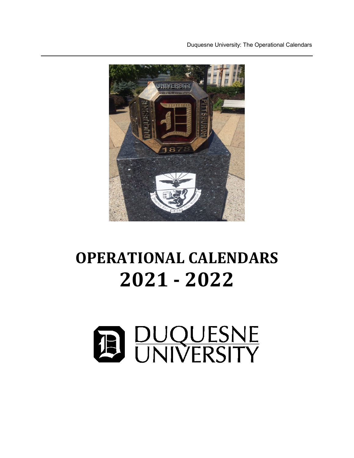

## **OPERATIONAL CALENDARS 2021 - 2022**

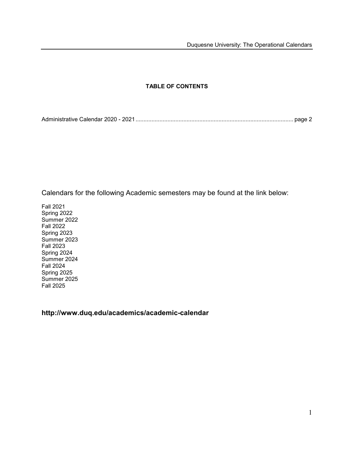## **TABLE OF CONTENTS**

|--|--|

Calendars for the following Academic semesters may be found at the link below:

Fall 2021 Spring 2022 Summer 2022 Fall 2022 Spring 2023 Summer 2023 Fall 2023 Spring 2024 Summer 2024 Fall 2024 Spring 2025 Summer 2025 Fall 2025

**http://www.duq.edu/academics/academic-calendar**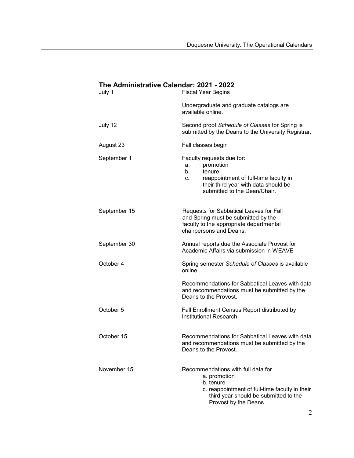| The Administrative Calendar: 2021 - 2022<br>July 1 | <b>Fiscal Year Begins</b>                                                                                                                                                             |
|----------------------------------------------------|---------------------------------------------------------------------------------------------------------------------------------------------------------------------------------------|
|                                                    | Undergraduate and graduate catalogs are<br>available online.                                                                                                                          |
| July 12                                            | Second proof Schedule of Classes for Spring is<br>submitted by the Deans to the University Registrar.                                                                                 |
| August 23                                          | Fall classes begin                                                                                                                                                                    |
| September 1                                        | Faculty requests due for:<br>promotion<br>а. –<br>b.<br>tenure<br>reappointment of full-time faculty in<br>C.<br>their third year with data should be<br>submitted to the Dean/Chair. |
| September 15                                       | Requests for Sabbatical Leaves for Fall<br>and Spring must be submitted by the<br>faculty to the appropriate departmental<br>chairpersons and Deans.                                  |
| September 30                                       | Annual reports due the Associate Provost for<br>Academic Affairs via submission in WEAVE                                                                                              |
| October 4                                          | Spring semester Schedule of Classes is available<br>online.                                                                                                                           |
|                                                    | Recommendations for Sabbatical Leaves with data<br>and recommendations must be submitted by the<br>Deans to the Provost.                                                              |
| October 5                                          | Fall Enrollment Census Report distributed by<br>Institutional Research.                                                                                                               |
| October 15                                         | Recommendations for Sabbatical Leaves with data<br>and recommendations must be submitted by the<br>Deans to the Provost.                                                              |
| November 15                                        | Recommendations with full data for<br>a. promotion<br>b. tenure<br>c. reappointment of full-time faculty in their<br>third year should be submitted to the<br>Provost by the Deans.   |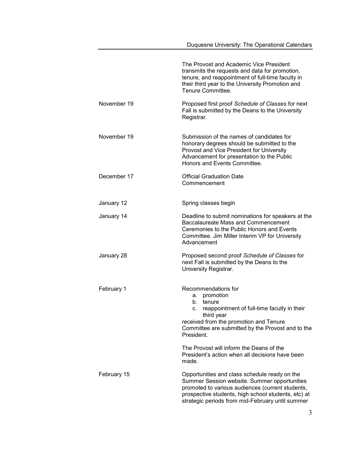|             | The Provost and Academic Vice President<br>transmits the requests and data for promotion,<br>tenure, and reappointment of full-time faculty in<br>their third year to the University Promotion and<br>Tenure Committee.                                      |
|-------------|--------------------------------------------------------------------------------------------------------------------------------------------------------------------------------------------------------------------------------------------------------------|
| November 19 | Proposed first proof Schedule of Classes for next<br>Fall is submitted by the Deans to the University<br>Registrar.                                                                                                                                          |
| November 19 | Submission of the names of candidates for<br>honorary degrees should be submitted to the<br>Provost and Vice President for University<br>Advancement for presentation to the Public<br>Honors and Events Committee.                                          |
| December 17 | <b>Official Graduation Date</b><br>Commencement                                                                                                                                                                                                              |
| January 12  | Spring classes begin                                                                                                                                                                                                                                         |
| January 14  | Deadline to submit nominations for speakers at the<br>Baccalaureate Mass and Commencement<br>Ceremonies to the Public Honors and Events<br>Committee. Jim Miller Interim VP for University<br>Advancement                                                    |
| January 28  | Proposed second proof Schedule of Classes for<br>next Fall is submitted by the Deans to the<br>University Registrar.                                                                                                                                         |
| February 1  | Recommendations for<br>promotion<br>а.<br>tenure<br>b.<br>reappointment of full-time faculty in their<br>c.<br>third year<br>received from the promotion and Tenure<br>Committee are submitted by the Provost and to the<br>President.                       |
|             | The Provost will inform the Deans of the<br>President's action when all decisions have been<br>made.                                                                                                                                                         |
| February 15 | Opportunities and class schedule ready on the<br>Summer Session website. Summer opportunities<br>promoted to various audiences (current students,<br>prospective students, high school students, etc) at<br>strategic periods from mid-February until summer |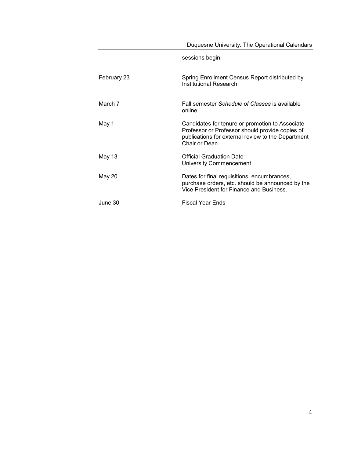|               | Duquesne University: The Operational Calendars                                                                                                                             |
|---------------|----------------------------------------------------------------------------------------------------------------------------------------------------------------------------|
|               | sessions begin.                                                                                                                                                            |
| February 23   | Spring Enrollment Census Report distributed by<br>Institutional Research.                                                                                                  |
| March 7       | Fall semester Schedule of Classes is available<br>online.                                                                                                                  |
| May 1         | Candidates for tenure or promotion to Associate<br>Professor or Professor should provide copies of<br>publications for external review to the Department<br>Chair or Dean. |
| <b>May 13</b> | <b>Official Graduation Date</b><br><b>University Commencement</b>                                                                                                          |
| May 20        | Dates for final requisitions, encumbrances,<br>purchase orders, etc. should be announced by the<br>Vice President for Finance and Business.                                |
| June 30       | <b>Fiscal Year Ends</b>                                                                                                                                                    |